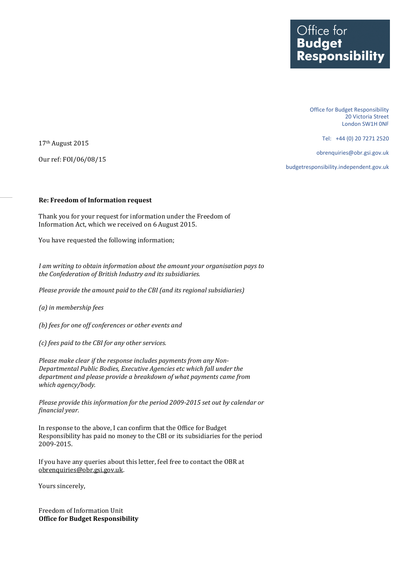Office for Budget Responsibility 20 Victoria Street London SW1H 0NF

Tel: +44 (0) 20 7271 2520

obrenquiries@obr.gsi.gov.uk

budgetresponsibility.independent.gov.uk

17th August 2015 Our ref: FOI/06/08/15

## **Re: Freedom of Information request**

Thank you for your request for information under the Freedom of Information Act, which we received on 6 August 2015.

You have requested the following information;

*I am writing to obtain information about the amount your organisation pays to the Confederation of British Industry and its subsidiaries.*

*Please provide the amount paid to the CBI (and its regional subsidiaries)*

*(a) in membership fees*

*(b) fees for one off conferences or other events and*

*(c) fees paid to the CBI for any other services.*

*Please make clear if the response includes payments from any Non-Departmental Public Bodies, Executive Agencies etc which fall under the department and please provide a breakdown of what payments came from which agency/body.* 

*Please provide this information for the period 2009-2015 set out by calendar or financial year.*

In response to the above, I can confirm that the Office for Budget Responsibility has paid no money to the CBI or its subsidiaries for the period 2009-2015.

If you have any queries about this letter, feel free to contact the OBR at [obrenquiries@obr.gsi.gov.uk.](mailto:obrenquiries@obr.gsi.gov.uk?subject=FOI%2009/03/11) 

Yours sincerely,

Freedom of Information Unit **Office for Budget Responsibility**